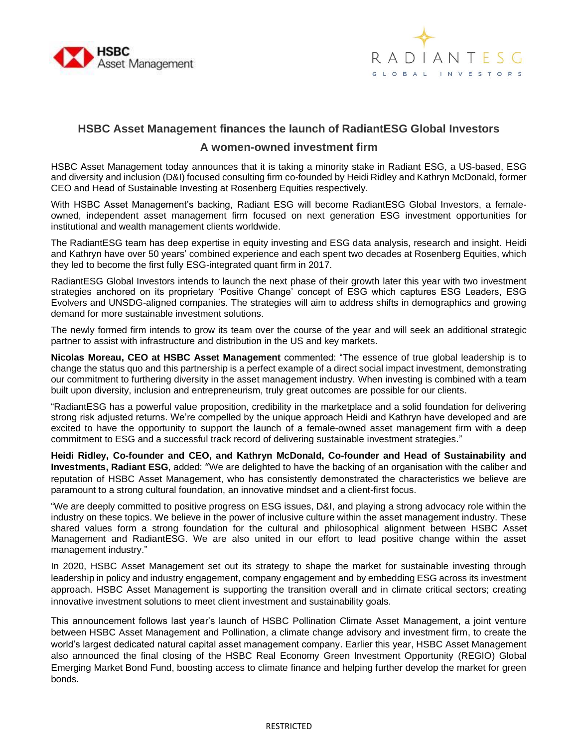



# **HSBC Asset Management finances the launch of RadiantESG Global Investors**

## **A women-owned investment firm**

HSBC Asset Management today announces that it is taking a minority stake in Radiant ESG, a US-based, ESG and diversity and inclusion (D&I) focused consulting firm co-founded by Heidi Ridley and Kathryn McDonald, former CEO and Head of Sustainable Investing at Rosenberg Equities respectively.

With HSBC Asset Management's backing, Radiant ESG will become RadiantESG Global Investors, a femaleowned, independent asset management firm focused on next generation ESG investment opportunities for institutional and wealth management clients worldwide.

The RadiantESG team has deep expertise in equity investing and ESG data analysis, research and insight. Heidi and Kathryn have over 50 years' combined experience and each spent two decades at Rosenberg Equities, which they led to become the first fully ESG-integrated quant firm in 2017.

RadiantESG Global Investors intends to launch the next phase of their growth later this year with two investment strategies anchored on its proprietary 'Positive Change' concept of ESG which captures ESG Leaders, ESG Evolvers and UNSDG-aligned companies. The strategies will aim to address shifts in demographics and growing demand for more sustainable investment solutions.

The newly formed firm intends to grow its team over the course of the year and will seek an additional strategic partner to assist with infrastructure and distribution in the US and key markets.

**Nicolas Moreau, CEO at HSBC Asset Management** commented: "The essence of true global leadership is to change the status quo and this partnership is a perfect example of a direct social impact investment, demonstrating our commitment to furthering diversity in the asset management industry. When investing is combined with a team built upon diversity, inclusion and entrepreneurism, truly great outcomes are possible for our clients.

"RadiantESG has a powerful value proposition, credibility in the marketplace and a solid foundation for delivering strong risk adjusted returns. We're compelled by the unique approach Heidi and Kathryn have developed and are excited to have the opportunity to support the launch of a female-owned asset management firm with a deep commitment to ESG and a successful track record of delivering sustainable investment strategies."

**Heidi Ridley, Co-founder and CEO, and Kathryn McDonald, Co-founder and Head of Sustainability and Investments, Radiant ESG**, added: "We are delighted to have the backing of an organisation with the caliber and reputation of HSBC Asset Management, who has consistently demonstrated the characteristics we believe are paramount to a strong cultural foundation, an innovative mindset and a client-first focus.

"We are deeply committed to positive progress on ESG issues, D&I, and playing a strong advocacy role within the industry on these topics. We believe in the power of inclusive culture within the asset management industry. These shared values form a strong foundation for the cultural and philosophical alignment between HSBC Asset Management and RadiantESG. We are also united in our effort to lead positive change within the asset management industry."

In 2020, HSBC Asset Management set out its strategy to shape the market for sustainable investing through leadership in policy and industry engagement, company engagement and by embedding ESG across its investment approach. HSBC Asset Management is supporting the transition overall and in climate critical sectors; creating innovative investment solutions to meet client investment and sustainability goals.

This announcement follows last year's launch of HSBC Pollination Climate Asset Management, a joint venture between HSBC Asset Management and Pollination, a climate change advisory and investment firm, to create the world's largest dedicated natural capital asset management company. Earlier this year, HSBC Asset Management also announced the final closing of the HSBC Real Economy Green Investment Opportunity (REGIO) Global Emerging Market Bond Fund, boosting access to climate finance and helping further develop the market for green bonds.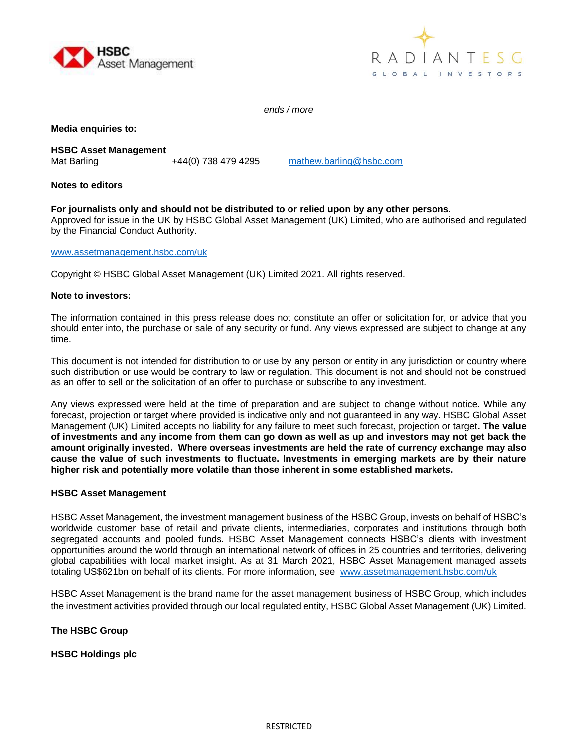



*ends / more*

**Media enquiries to:**

**HSBC Asset Management** Mat Barling **1988** +44(0) 738 479 4295 [mathew.barling@hsbc.com](mailto:mathew.barling@hsbc.com)

## **Notes to editors**

## **For journalists only and should not be distributed to or relied upon by any other persons.**

Approved for issue in the UK by HSBC Global Asset Management (UK) Limited, who are authorised and regulated by the Financial Conduct Authority.

#### [www.assetmanagement.hsbc.com/uk](http://www.assetmanagement.hsbc.com/uk)

Copyright © HSBC Global Asset Management (UK) Limited 2021. All rights reserved.

#### **Note to investors:**

The information contained in this press release does not constitute an offer or solicitation for, or advice that you should enter into, the purchase or sale of any security or fund. Any views expressed are subject to change at any time.

This document is not intended for distribution to or use by any person or entity in any jurisdiction or country where such distribution or use would be contrary to law or regulation. This document is not and should not be construed as an offer to sell or the solicitation of an offer to purchase or subscribe to any investment.

Any views expressed were held at the time of preparation and are subject to change without notice. While any forecast, projection or target where provided is indicative only and not guaranteed in any way. HSBC Global Asset Management (UK) Limited accepts no liability for any failure to meet such forecast, projection or target**. The value of investments and any income from them can go down as well as up and investors may not get back the amount originally invested. Where overseas investments are held the rate of currency exchange may also cause the value of such investments to fluctuate. Investments in emerging markets are by their nature higher risk and potentially more volatile than those inherent in some established markets.** 

## **HSBC Asset Management**

HSBC Asset Management, the investment management business of the HSBC Group, invests on behalf of HSBC's worldwide customer base of retail and private clients, intermediaries, corporates and institutions through both segregated accounts and pooled funds. HSBC Asset Management connects HSBC's clients with investment opportunities around the world through an international network of offices in 25 countries and territories, delivering global capabilities with local market insight. As at 31 March 2021, HSBC Asset Management managed assets totaling US\$621bn on behalf of its clients. For more information, see [www.assetmanagement.hsbc.com/uk](http://www.assetmanagement.hsbc.com/uk)

HSBC Asset Management is the brand name for the asset management business of HSBC Group, which includes the investment activities provided through our local regulated entity, HSBC Global Asset Management (UK) Limited.

## **The HSBC Group**

**HSBC Holdings plc**